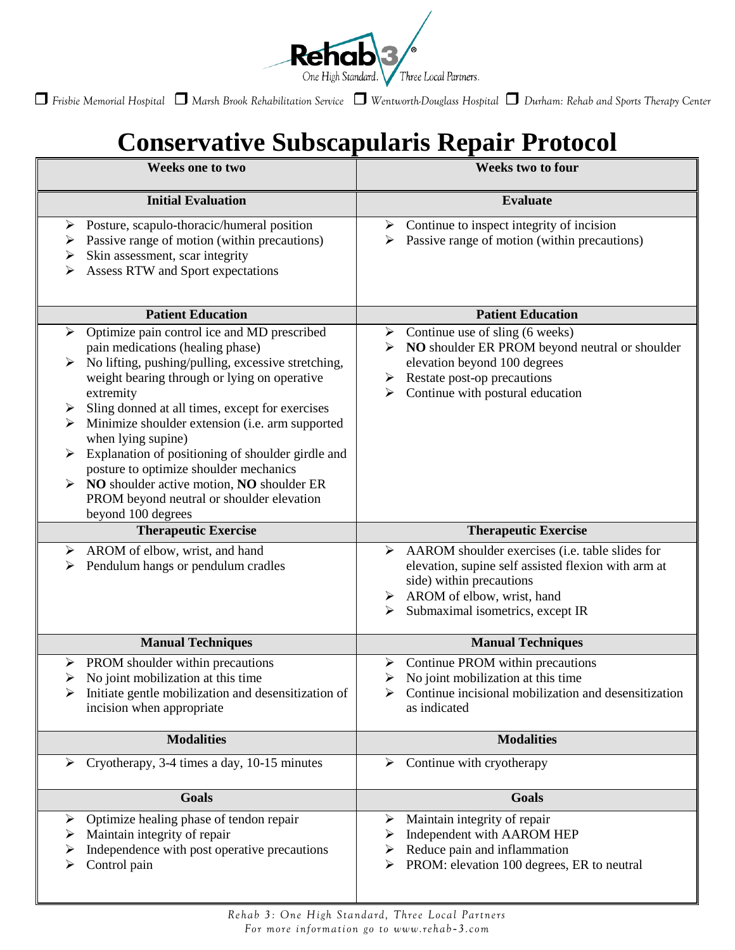

*Frisbie Memorial Hospital Marsh Brook Rehabilitation Service Wentworth-Douglass Hospital Durham: Rehab and Sports Therapy Center*

## **Conservative Subscapularis Repair Protocol**

| <b>Weeks one to two</b>                                                                                                                                                                                                                                                                                                                                                                                                                                                                                                                                      | <b>Weeks two to four</b>                                                                                                                                                                                            |
|--------------------------------------------------------------------------------------------------------------------------------------------------------------------------------------------------------------------------------------------------------------------------------------------------------------------------------------------------------------------------------------------------------------------------------------------------------------------------------------------------------------------------------------------------------------|---------------------------------------------------------------------------------------------------------------------------------------------------------------------------------------------------------------------|
| <b>Initial Evaluation</b>                                                                                                                                                                                                                                                                                                                                                                                                                                                                                                                                    | <b>Evaluate</b>                                                                                                                                                                                                     |
| Posture, scapulo-thoracic/humeral position<br>➤<br>Passive range of motion (within precautions)<br>➤<br>Skin assessment, scar integrity<br>➤<br>Assess RTW and Sport expectations                                                                                                                                                                                                                                                                                                                                                                            | Continue to inspect integrity of incision<br>≻<br>Passive range of motion (within precautions)                                                                                                                      |
| <b>Patient Education</b>                                                                                                                                                                                                                                                                                                                                                                                                                                                                                                                                     | <b>Patient Education</b>                                                                                                                                                                                            |
| Optimize pain control ice and MD prescribed<br>➤<br>pain medications (healing phase)<br>No lifting, pushing/pulling, excessive stretching,<br>weight bearing through or lying on operative<br>extremity<br>Sling donned at all times, except for exercises<br>➤<br>Minimize shoulder extension (i.e. arm supported<br>when lying supine)<br>Explanation of positioning of shoulder girdle and<br>⋗<br>posture to optimize shoulder mechanics<br>NO shoulder active motion, NO shoulder ER<br>PROM beyond neutral or shoulder elevation<br>beyond 100 degrees | Continue use of sling (6 weeks)<br>≻<br>NO shoulder ER PROM beyond neutral or shoulder<br>➤<br>elevation beyond 100 degrees<br>Restate post-op precautions<br>➤<br>Continue with postural education<br>➤            |
| <b>Therapeutic Exercise</b>                                                                                                                                                                                                                                                                                                                                                                                                                                                                                                                                  | <b>Therapeutic Exercise</b>                                                                                                                                                                                         |
| AROM of elbow, wrist, and hand<br>➤<br>Pendulum hangs or pendulum cradles                                                                                                                                                                                                                                                                                                                                                                                                                                                                                    | AAROM shoulder exercises (i.e. table slides for<br>➤<br>elevation, supine self assisted flexion with arm at<br>side) within precautions<br>AROM of elbow, wrist, hand<br>➤<br>Submaximal isometrics, except IR<br>⋗ |
| <b>Manual Techniques</b>                                                                                                                                                                                                                                                                                                                                                                                                                                                                                                                                     | <b>Manual Techniques</b>                                                                                                                                                                                            |
| PROM shoulder within precautions<br>➤<br>No joint mobilization at this time<br>➤<br>Initiate gentle mobilization and desensitization of<br>incision when appropriate                                                                                                                                                                                                                                                                                                                                                                                         | Continue PROM within precautions<br>➤<br>No joint mobilization at this time<br>Continue incisional mobilization and desensitization<br>as indicated                                                                 |
| <b>Modalities</b>                                                                                                                                                                                                                                                                                                                                                                                                                                                                                                                                            | <b>Modalities</b>                                                                                                                                                                                                   |
| Cryotherapy, 3-4 times a day, 10-15 minutes<br>➤                                                                                                                                                                                                                                                                                                                                                                                                                                                                                                             | Continue with cryotherapy<br>➤                                                                                                                                                                                      |
| <b>Goals</b>                                                                                                                                                                                                                                                                                                                                                                                                                                                                                                                                                 | Goals                                                                                                                                                                                                               |
| Optimize healing phase of tendon repair<br>➤<br>Maintain integrity of repair<br>Independence with post operative precautions<br>Control pain                                                                                                                                                                                                                                                                                                                                                                                                                 | Maintain integrity of repair<br>➤<br>Independent with AAROM HEP<br>➤<br>Reduce pain and inflammation<br>➤<br>PROM: elevation 100 degrees, ER to neutral<br>➤                                                        |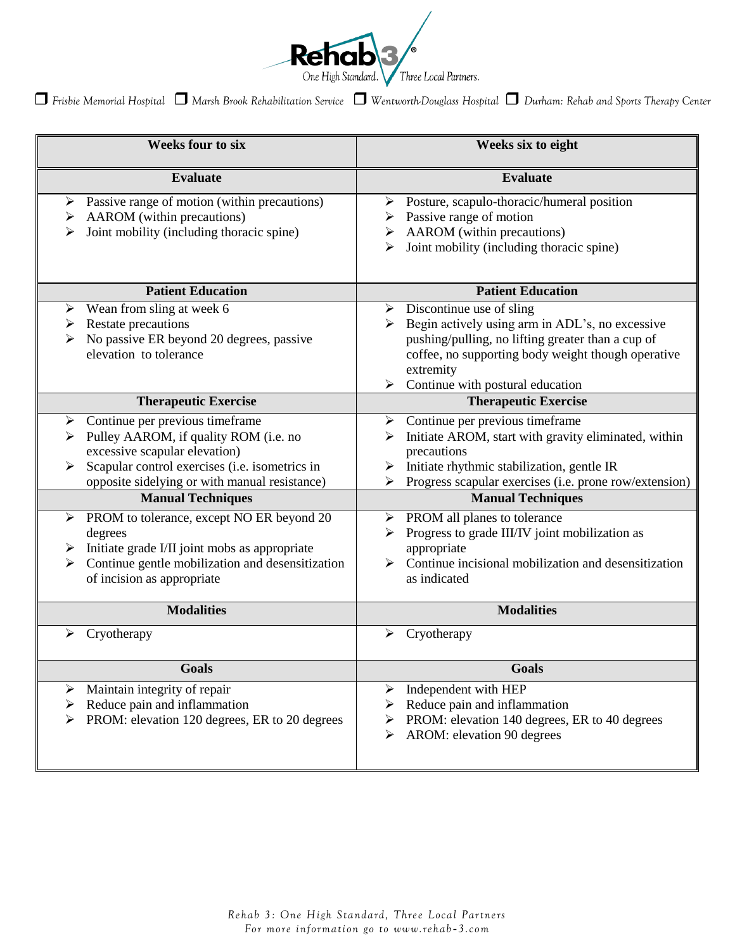

*Frisbie Memorial Hospital Marsh Brook Rehabilitation Service Wentworth-Douglass Hospital Durham: Rehab and Sports Therapy Center*

| <b>Weeks four to six</b>                                                                                                                                                                                                                                                                                                                                                                                                                           | Weeks six to eight                                                                                                                                                                                                                                                                                                                                                                                                                                                   |
|----------------------------------------------------------------------------------------------------------------------------------------------------------------------------------------------------------------------------------------------------------------------------------------------------------------------------------------------------------------------------------------------------------------------------------------------------|----------------------------------------------------------------------------------------------------------------------------------------------------------------------------------------------------------------------------------------------------------------------------------------------------------------------------------------------------------------------------------------------------------------------------------------------------------------------|
| <b>Evaluate</b>                                                                                                                                                                                                                                                                                                                                                                                                                                    | <b>Evaluate</b>                                                                                                                                                                                                                                                                                                                                                                                                                                                      |
| Passive range of motion (within precautions)<br>➤<br>AAROM (within precautions)<br>➤<br>Joint mobility (including thoracic spine)<br>⋗                                                                                                                                                                                                                                                                                                             | $\triangleright$ Posture, scapulo-thoracic/humeral position<br>Passive range of motion<br>➤<br>AAROM (within precautions)<br>➤<br>Joint mobility (including thoracic spine)<br>⋗                                                                                                                                                                                                                                                                                     |
| <b>Patient Education</b>                                                                                                                                                                                                                                                                                                                                                                                                                           | <b>Patient Education</b>                                                                                                                                                                                                                                                                                                                                                                                                                                             |
| Wean from sling at week 6<br>➤<br>Restate precautions<br>➤<br>No passive ER beyond 20 degrees, passive<br>elevation to tolerance                                                                                                                                                                                                                                                                                                                   | $\triangleright$ Discontinue use of sling<br>Begin actively using arm in ADL's, no excessive<br>pushing/pulling, no lifting greater than a cup of<br>coffee, no supporting body weight though operative<br>extremity<br>Continue with postural education<br>$\blacktriangleright$                                                                                                                                                                                    |
| <b>Therapeutic Exercise</b>                                                                                                                                                                                                                                                                                                                                                                                                                        | <b>Therapeutic Exercise</b>                                                                                                                                                                                                                                                                                                                                                                                                                                          |
| Continue per previous timeframe<br>➤<br>Pulley AAROM, if quality ROM (i.e. no<br>➤<br>excessive scapular elevation)<br>Scapular control exercises (i.e. isometrics in<br>opposite sidelying or with manual resistance)<br><b>Manual Techniques</b><br>PROM to tolerance, except NO ER beyond 20<br>➤<br>degrees<br>Initiate grade I/II joint mobs as appropriate<br>Continue gentle mobilization and desensitization<br>of incision as appropriate | Continue per previous timeframe<br>➤<br>Initiate AROM, start with gravity eliminated, within<br>⋗<br>precautions<br>$\triangleright$ Initiate rhythmic stabilization, gentle IR<br>Progress scapular exercises (i.e. prone row/extension)<br><b>Manual Techniques</b><br>$\triangleright$ PROM all planes to tolerance<br>Progress to grade III/IV joint mobilization as<br>➤<br>appropriate<br>Continue incisional mobilization and desensitization<br>as indicated |
| <b>Modalities</b>                                                                                                                                                                                                                                                                                                                                                                                                                                  | <b>Modalities</b>                                                                                                                                                                                                                                                                                                                                                                                                                                                    |
| Cryotherapy<br>➤                                                                                                                                                                                                                                                                                                                                                                                                                                   | Cryotherapy<br>➤                                                                                                                                                                                                                                                                                                                                                                                                                                                     |
| <b>Goals</b>                                                                                                                                                                                                                                                                                                                                                                                                                                       | <b>Goals</b>                                                                                                                                                                                                                                                                                                                                                                                                                                                         |
| Maintain integrity of repair<br>➤<br>Reduce pain and inflammation<br>➤<br>PROM: elevation 120 degrees, ER to 20 degrees                                                                                                                                                                                                                                                                                                                            | Independent with HEP<br>➤<br>Reduce pain and inflammation<br>PROM: elevation 140 degrees, ER to 40 degrees<br>➤<br>AROM: elevation 90 degrees<br>➤                                                                                                                                                                                                                                                                                                                   |